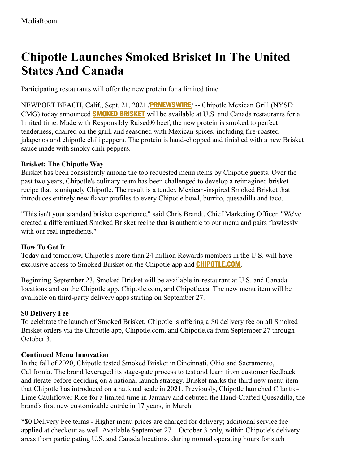# **Chipotle Launches Smoked Brisket In The United States And Canada**

Participating restaurants will offer the new protein for a limited time

NEWPORT BEACH, Calif., Sept. 21, 2021 /**[PRNEWSWIRE](http://www.prnewswire.com/)**/ -- Chipotle Mexican Grill (NYSE: CMG) today announced **[SMOKED](https://c212.net/c/link/?t=0&l=en&o=3297056-1&h=2143477672&u=http%3A%2F%2Fwww.chipotle.com%2Fbrisket&a=Smoked+Brisket) BRISKET** will be available at U.S. and Canada restaurants for a limited time. Made with Responsibly Raised® beef, the new protein is smoked to perfect tenderness, charred on the grill, and seasoned with Mexican spices, including fire-roasted jalapenos and chipotle chili peppers. The protein is hand-chopped and finished with a new Brisket sauce made with smoky chili peppers.

## **Brisket: The Chipotle Way**

Brisket has been consistently among the top requested menu items by Chipotle guests. Over the past two years, Chipotle's culinary team has been challenged to develop a reimagined brisket recipe that is uniquely Chipotle. The result is a tender, Mexican-inspired Smoked Brisket that introduces entirely new flavor profiles to every Chipotle bowl, burrito, quesadilla and taco.

"This isn't your standard brisket experience," said Chris Brandt, Chief Marketing Officer. "We've created a differentiated Smoked Brisket recipe that is authentic to our menu and pairs flawlessly with our real ingredients."

### **How To Get It**

Today and tomorrow, Chipotle's more than 24 million Rewards members in the U.S. will have exclusive access to Smoked Brisket on the Chipotle app and **[CHIPOTLE.COM](https://c212.net/c/link/?t=0&l=en&o=3297056-1&h=3122683200&u=https%3A%2F%2Fwww.chipotle.com%2F&a=Chipotle.com)**.

Beginning September 23, Smoked Brisket will be available in-restaurant at U.S. and Canada locations and on the Chipotle app, Chipotle.com, and Chipotle.ca. The new menu item will be available on third-party delivery apps starting on September 27.

### **\$0 Delivery Fee**

To celebrate the launch of Smoked Brisket, Chipotle is offering a \$0 delivery fee on all Smoked Brisket orders via the Chipotle app, Chipotle.com, and Chipotle.ca from September 27 through October 3.

### **Continued Menu Innovation**

In the fall of 2020, Chipotle tested Smoked Brisket inCincinnati, Ohio and Sacramento, California. The brand leveraged its stage-gate process to test and learn from customer feedback and iterate before deciding on a national launch strategy. Brisket marks the third new menu item that Chipotle has introduced on a national scale in 2021. Previously, Chipotle launched Cilantro-Lime Cauliflower Rice for a limited time in January and debuted the Hand-Crafted Quesadilla, the brand's first new customizable entrée in 17 years, in March.

\*\$0 Delivery Fee terms - Higher menu prices are charged for delivery; additional service fee applied at checkout as well. Available September 27 – October 3 only, within Chipotle's delivery areas from participating U.S. and Canada locations, during normal operating hours for such